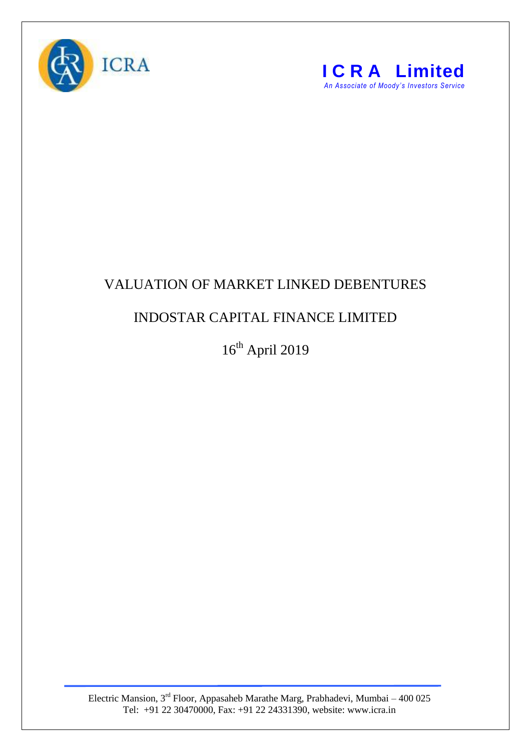



## VALUATION OF MARKET LINKED DEBENTURES

## INDOSTAR CAPITAL FINANCE LIMITED

 $16^{\text{th}}$  April 2019

Electric Mansion,  $3<sup>rd</sup>$  Floor, Appasaheb Marathe Marg, Prabhadevi, Mumbai – 400 025 Tel: +91 22 30470000, Fax: +91 22 24331390, website: www.icra.in